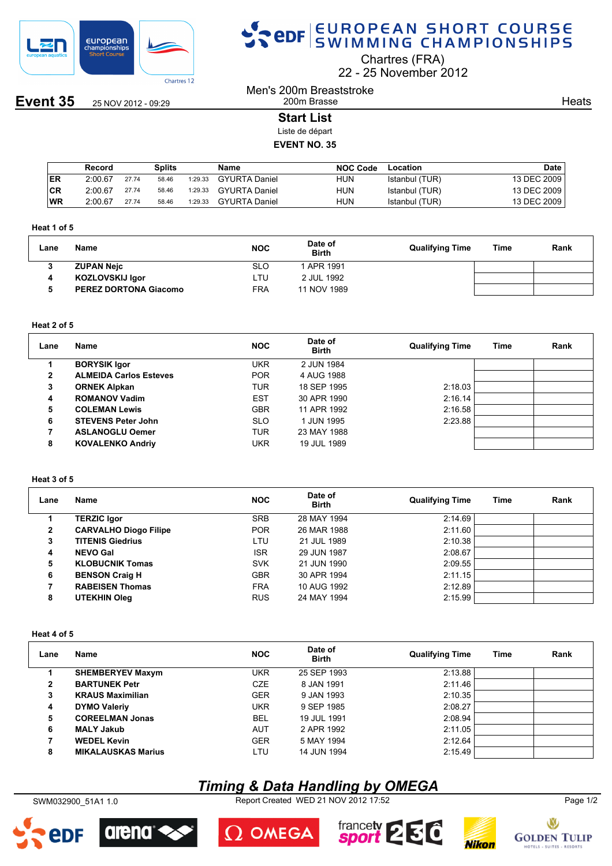

**Event 35** 25 NOV 2012 - 09:29

# SPOR EUROPEAN SHORT COURSE

Chartres (FRA)

22 25 November 2012

Men's 200m Breaststroke 200m Brasse

**Heats** 

# **Start List**

Liste de départ

# **EVENT NO. 35**

|           | Record  |       | Splits |         | Name                 | <b>NOC Code</b> | Location       | Date        |
|-----------|---------|-------|--------|---------|----------------------|-----------------|----------------|-------------|
| <b>ER</b> | 2:00.67 | 27.74 | 58.46  | 1:29.33 | <b>GYURTA Daniel</b> | HUN             | Istanbul (TUR) | 13 DEC 2009 |
| CR        | 2:00.67 | 27.74 | 58.46  | 1:29.33 | GYURTA Daniel        | HUN             | Istanbul (TUR) | 13 DEC 2009 |
| <b>WR</b> | 2:00.67 | 27.74 | 58.46  | 1:29.33 | <b>GYURTA Daniel</b> | HUN             | Istanbul (TUR) | 13 DEC 2009 |

#### **Heat 1 of 5**

| Lane | Name                         | <b>NOC</b> | Date of<br><b>Birth</b> | <b>Qualifying Time</b> | Time | Rank |
|------|------------------------------|------------|-------------------------|------------------------|------|------|
|      | <b>ZUPAN Nejc</b>            | SLO        | 1 APR 1991              |                        |      |      |
|      | <b>KOZLOVSKIJ Igor</b>       | ∟TU        | 2 JUL 1992              |                        |      |      |
|      | <b>PEREZ DORTONA Giacomo</b> | FRA        | 11 NOV 1989             |                        |      |      |

#### **Heat 2 of 5**

| Lane         | Name                          | <b>NOC</b> | Date of<br><b>Birth</b> | <b>Qualifying Time</b> | Time | Rank |
|--------------|-------------------------------|------------|-------------------------|------------------------|------|------|
|              | <b>BORYSIK Igor</b>           | <b>UKR</b> | 2 JUN 1984              |                        |      |      |
| $\mathbf{2}$ | <b>ALMEIDA Carlos Esteves</b> | <b>POR</b> | 4 AUG 1988              |                        |      |      |
| 3            | <b>ORNEK Alpkan</b>           | <b>TUR</b> | 18 SEP 1995             | 2:18.03                |      |      |
| 4            | <b>ROMANOV Vadim</b>          | <b>EST</b> | 30 APR 1990             | 2:16.14                |      |      |
| 5            | <b>COLEMAN Lewis</b>          | <b>GBR</b> | 11 APR 1992             | 2:16.58                |      |      |
| 6            | <b>STEVENS Peter John</b>     | <b>SLO</b> | 1 JUN 1995              | 2:23.88                |      |      |
|              | <b>ASLANOGLU Oemer</b>        | TUR        | 23 MAY 1988             |                        |      |      |
| 8            | <b>KOVALENKO Andriy</b>       | <b>UKR</b> | 19 JUL 1989             |                        |      |      |

# **Heat 3 of 5**

| Lane | <b>Name</b>                  | <b>NOC</b> | Date of<br><b>Birth</b> | <b>Qualifying Time</b> | Time | Rank |
|------|------------------------------|------------|-------------------------|------------------------|------|------|
|      | <b>TERZIC Igor</b>           | <b>SRB</b> | 28 MAY 1994             | 2:14.69                |      |      |
| 2    | <b>CARVALHO Diogo Filipe</b> | <b>POR</b> | 26 MAR 1988             | 2:11.60                |      |      |
| 3    | <b>TITENIS Giedrius</b>      | LTU        | 21 JUL 1989             | 2:10.38                |      |      |
| 4    | <b>NEVO Gal</b>              | <b>ISR</b> | 29 JUN 1987             | 2:08.67                |      |      |
| 5    | <b>KLOBUCNIK Tomas</b>       | <b>SVK</b> | 21 JUN 1990             | 2:09.55                |      |      |
| 6    | <b>BENSON Craig H</b>        | <b>GBR</b> | 30 APR 1994             | 2:11.15                |      |      |
|      | <b>RABEISEN Thomas</b>       | <b>FRA</b> | 10 AUG 1992             | 2:12.89                |      |      |
| 8    | <b>UTEKHIN Oleg</b>          | <b>RUS</b> | 24 MAY 1994             | 2:15.99                |      |      |

#### **Heat 4 of 5**

| Lane | Name                      | <b>NOC</b> | Date of<br><b>Birth</b> | <b>Qualifying Time</b> | Time | Rank |
|------|---------------------------|------------|-------------------------|------------------------|------|------|
|      | <b>SHEMBERYEV Maxym</b>   | <b>UKR</b> | 25 SEP 1993             | 2:13.88                |      |      |
| 2    | <b>BARTUNEK Petr</b>      | <b>CZE</b> | 8 JAN 1991              | 2:11.46                |      |      |
| 3    | <b>KRAUS Maximilian</b>   | <b>GER</b> | 9 JAN 1993              | 2:10.35                |      |      |
| 4    | <b>DYMO Valeriy</b>       | <b>UKR</b> | 9 SEP 1985              | 2:08.27                |      |      |
| 5    | <b>COREELMAN Jonas</b>    | <b>BEL</b> | 19 JUL 1991             | 2:08.94                |      |      |
| 6    | <b>MALY Jakub</b>         | <b>AUT</b> | 2 APR 1992              | 2:11.05                |      |      |
| 7    | <b>WEDEL Kevin</b>        | <b>GER</b> | 5 MAY 1994              | 2:12.64                |      |      |
| 8    | <b>MIKALAUSKAS Marius</b> | LTU        | 14 JUN 1994             | 2:15.49                |      |      |

# *Timing & Data Handling by OMEGA*

SWM032900\_51A1 1.0 Report Created WED 21 NOV 2012 17:52 Page 1/2